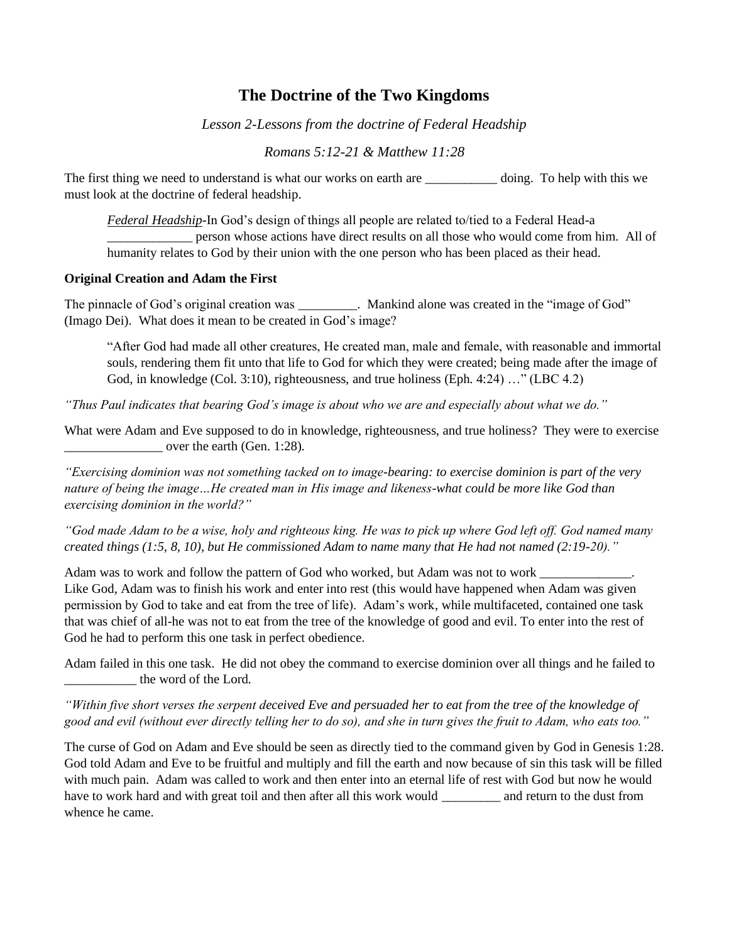## **The Doctrine of the Two Kingdoms**

*Lesson 2-Lessons from the doctrine of Federal Headship*

*Romans 5:12-21 & Matthew 11:28*

The first thing we need to understand is what our works on earth are \_\_\_\_\_\_\_\_\_\_\_\_ doing. To help with this we must look at the doctrine of federal headship.

*Federal Headship*-In God's design of things all people are related to/tied to a Federal Head-a \_\_\_\_\_\_\_\_\_\_\_\_\_ person whose actions have direct results on all those who would come from him. All of humanity relates to God by their union with the one person who has been placed as their head.

## **Original Creation and Adam the First**

The pinnacle of God's original creation was  $\blacksquare$ . Mankind alone was created in the "image of God" (Imago Dei). What does it mean to be created in God's image?

"After God had made all other creatures, He created man, male and female, with reasonable and immortal souls, rendering them fit unto that life to God for which they were created; being made after the image of God, in knowledge (Col. 3:10), righteousness, and true holiness (Eph. 4:24) …" (LBC 4.2)

*"Thus Paul indicates that bearing God's image is about who we are and especially about what we do."*

What were Adam and Eve supposed to do in knowledge, righteousness, and true holiness? They were to exercise over the earth (Gen. 1:28).

*"Exercising dominion was not something tacked on to image-bearing: to exercise dominion is part of the very nature of being the image…He created man in His image and likeness-what could be more like God than exercising dominion in the world?"*

*"God made Adam to be a wise, holy and righteous king. He was to pick up where God left off. God named many created things (1:5, 8, 10), but He commissioned Adam to name many that He had not named (2:19-20)."*

Adam was to work and follow the pattern of God who worked, but Adam was not to work \_\_\_\_\_\_\_\_\_\_\_\_\_\_. Like God, Adam was to finish his work and enter into rest (this would have happened when Adam was given permission by God to take and eat from the tree of life). Adam's work, while multifaceted, contained one task that was chief of all-he was not to eat from the tree of the knowledge of good and evil. To enter into the rest of God he had to perform this one task in perfect obedience.

Adam failed in this one task. He did not obey the command to exercise dominion over all things and he failed to \_\_\_\_\_\_\_\_\_\_\_ the word of the Lord.

*"Within five short verses the serpent deceived Eve and persuaded her to eat from the tree of the knowledge of good and evil (without ever directly telling her to do so), and she in turn gives the fruit to Adam, who eats too."*

The curse of God on Adam and Eve should be seen as directly tied to the command given by God in Genesis 1:28. God told Adam and Eve to be fruitful and multiply and fill the earth and now because of sin this task will be filled with much pain. Adam was called to work and then enter into an eternal life of rest with God but now he would have to work hard and with great toil and then after all this work would \_\_\_\_\_\_\_\_\_ and return to the dust from whence he came.